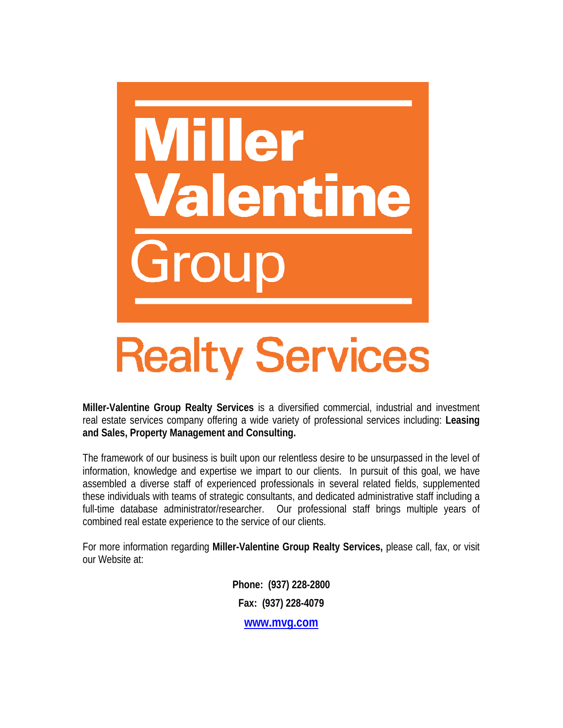

**Miller-Valentine Group Realty Services** is a diversified commercial, industrial and investment real estate services company offering a wide variety of professional services including: **Leasing and Sales, Property Management and Consulting.**

The framework of our business is built upon our relentless desire to be unsurpassed in the level of information, knowledge and expertise we impart to our clients. In pursuit of this goal, we have assembled a diverse staff of experienced professionals in several related fields, supplemented these individuals with teams of strategic consultants, and dedicated administrative staff including a full-time database administrator/researcher. Our professional staff brings multiple years of combined real estate experience to the service of our clients.

For more information regarding **Miller-Valentine Group Realty Services,** please call, fax, or visit our Website at:

> **Phone: (937) 228-2800 Fax: (937) 228-4079 www.mvg.com**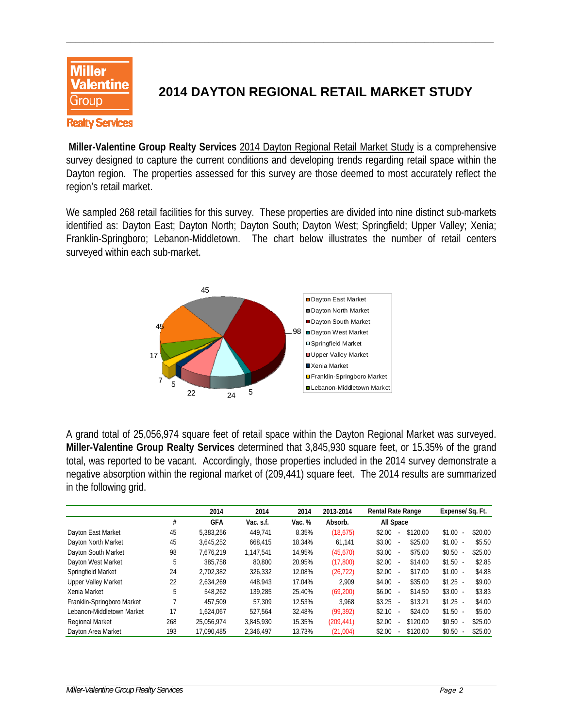

# **2014 DAYTON REGIONAL RETAIL MARKET STUDY**

 **Miller-Valentine Group Realty Services** 2014 Dayton Regional Retail Market Study is a comprehensive survey designed to capture the current conditions and developing trends regarding retail space within the Dayton region. The properties assessed for this survey are those deemed to most accurately reflect the region's retail market.

**\_\_\_\_\_\_\_\_\_\_\_\_\_\_\_\_\_\_\_\_\_\_\_\_\_\_\_\_\_\_\_\_\_\_\_\_\_\_\_\_\_\_\_\_\_\_\_\_\_\_\_\_\_\_\_\_\_\_\_\_\_\_\_\_\_\_\_\_\_\_\_\_\_\_\_\_\_\_\_\_\_\_\_\_\_\_\_\_\_\_\_\_\_**

We sampled 268 retail facilities for this survey. These properties are divided into nine distinct sub-markets identified as: Dayton East; Dayton North; Dayton South; Dayton West; Springfield; Upper Valley; Xenia; Franklin-Springboro; Lebanon-Middletown. The chart below illustrates the number of retail centers surveyed within each sub-market.



A grand total of 25,056,974 square feet of retail space within the Dayton Regional Market was surveyed. **Miller-Valentine Group Realty Services** determined that 3,845,930 square feet, or 15.35% of the grand total, was reported to be vacant. Accordingly, those properties included in the 2014 survey demonstrate a negative absorption within the regional market of (209,441) square feet. The 2014 results are summarized in the following grid.

|                            |     | 2014       | 2014      | 2014   | 2013-2014  | <b>Rental Rate Range</b>     | Expense/Sq. Ft.                     |
|----------------------------|-----|------------|-----------|--------|------------|------------------------------|-------------------------------------|
|                            | #   | <b>GFA</b> | Vac. s.f. | Vac. % | Absorb.    | All Space                    |                                     |
| Dayton East Market         | 45  | 5.383.256  | 449.741   | 8.35%  | (18, 675)  | \$120.00<br>\$2.00           | \$20.00<br>\$1.00<br>$\sim 10^{-1}$ |
| Dayton North Market        | 45  | 3.645.252  | 668.415   | 18.34% | 61.141     | \$3.00<br>\$25.00<br>$\sim$  | $$1.00 -$<br>\$5.50                 |
| Dayton South Market        | 98  | 7.676.219  | 1.147.541 | 14.95% | (45, 670)  | \$3.00<br>\$75.00<br>$\sim$  | $$0.50 -$<br>\$25.00                |
| Dayton West Market         | 5   | 385.758    | 80,800    | 20.95% | (17, 800)  | \$2.00<br>\$14.00<br>$\sim$  | $$1.50 -$<br>\$2.85                 |
| Springfield Market         | 24  | 2.702.382  | 326.332   | 12.08% | (26, 722)  | \$17.00<br>\$2.00<br>$\sim$  | $$1.00 -$<br>\$4.88                 |
| <b>Upper Valley Market</b> | 22  | 2.634.269  | 448.943   | 17.04% | 2.909      | \$4.00<br>\$35.00<br>$\sim$  | $$1.25 -$<br>\$9.00                 |
| Xenia Market               | 5   | 548.262    | 139.285   | 25.40% | (69, 200)  | \$6.00<br>\$14.50<br>$\sim$  | $$3.00 -$<br>\$3.83                 |
| Franklin-Springboro Market |     | 457.509    | 57.309    | 12.53% | 3.968      | \$3.25<br>\$13.21<br>$\sim$  | $$1.25 -$<br>\$4.00                 |
| Lebanon-Middletown Market  | 17  | 1.624.067  | 527.564   | 32.48% | (99, 392)  | \$2.10<br>\$24.00<br>$\sim$  | $$1.50 -$<br>\$5.00                 |
| Regional Market            | 268 | 25.056.974 | 3.845.930 | 15.35% | (209, 441) | \$120.00<br>\$2.00           | $$0.50 -$<br>\$25.00                |
| Davton Area Market         | 193 | 17.090.485 | 2.346.497 | 13.73% | (21,004)   | \$2.00<br>\$120.00<br>$\sim$ | \$0.50<br>\$25.00                   |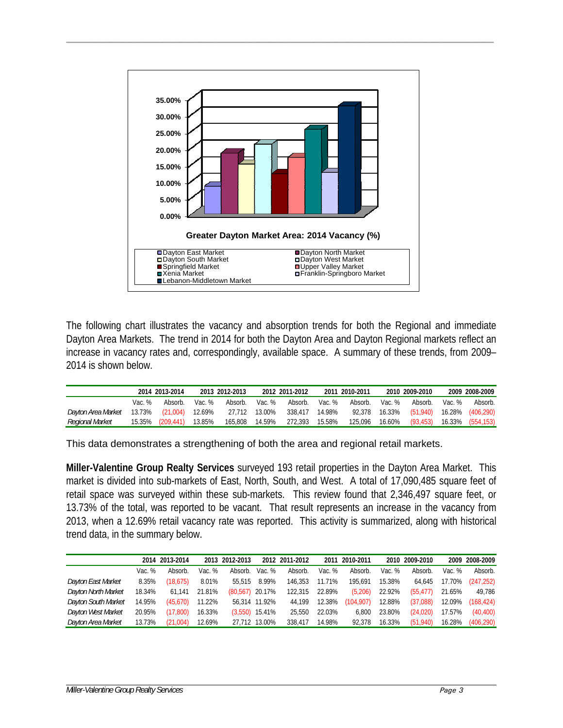

**\_\_\_\_\_\_\_\_\_\_\_\_\_\_\_\_\_\_\_\_\_\_\_\_\_\_\_\_\_\_\_\_\_\_\_\_\_\_\_\_\_\_\_\_\_\_\_\_\_\_\_\_\_\_\_\_\_\_\_\_\_\_\_\_\_\_\_\_\_\_\_\_\_\_\_\_\_\_\_\_\_\_\_\_\_\_\_\_\_\_\_\_\_**

The following chart illustrates the vacancy and absorption trends for both the Regional and immediate Dayton Area Markets. The trend in 2014 for both the Dayton Area and Dayton Regional markets reflect an increase in vacancy rates and, correspondingly, available space. A summary of these trends, from 2009– 2014 is shown below.

|                    | 2014 2013-2014 |                                                                                             | 2013 2012-2013 |  | 2012 2011-2012 |                                                                        | 2011 2010-2011 |  | 2010 2009-2010 |                             | 2009 2008-2009 |         |
|--------------------|----------------|---------------------------------------------------------------------------------------------|----------------|--|----------------|------------------------------------------------------------------------|----------------|--|----------------|-----------------------------|----------------|---------|
|                    | Vac. %         | Absorb.                                                                                     | Vac. %         |  |                | Absorb. Vac.% Absorb. Vac.%                                            |                |  |                | Absorb. Vac.% Absorb. Vac.% |                | Absorb. |
| Dayton Area Market |                | 13.73% (21,004) 12.69% 27,712 13.00% 338,417 14.98% 92,378 16.33% (51,940) 16.28% (406,290) |                |  |                |                                                                        |                |  |                |                             |                |         |
| Regional Market    |                | 15.35% (209,441) 13.85%                                                                     |                |  |                | 165,808 14.59% 272,393 15.58% 125,096 16.60% (93,453) 16.33% (554,153) |                |  |                |                             |                |         |

This data demonstrates a strengthening of both the area and regional retail markets.

**Miller-Valentine Group Realty Services** surveyed 193 retail properties in the Dayton Area Market. This market is divided into sub-markets of East, North, South, and West. A total of 17,090,485 square feet of retail space was surveyed within these sub-markets. This review found that 2,346,497 square feet, or 13.73% of the total, was reported to be vacant. That result represents an increase in the vacancy from 2013, when a 12.69% retail vacancy rate was reported. This activity is summarized, along with historical trend data, in the summary below.

|                     |        | 2014 2013-2014 |        | 2013 2012-2013     |                  | 2012 2011-2012 |        | 2011 2010-2011 |        | 2010 2009-2010 |        | 2009 2008-2009 |
|---------------------|--------|----------------|--------|--------------------|------------------|----------------|--------|----------------|--------|----------------|--------|----------------|
|                     | Vac. % | Absorb.        | Vac. % | Absorb.            | Vac. %           | Absorb.        | Vac. % | Absorb.        | Vac. % | Absorb.        | Vac. % | Absorb.        |
| Dayton East Market  | 8.35%  | (18.675)       | 8.01%  |                    | 55.515 8.99%     | 146.353        | 11.71% | 195.691        | 15.38% | 64.645         | 17.70% | (247, 252)     |
| Dayton North Market | 18.34% | 61.141         | 21.81% | $(80, 567)$ 20.17% |                  | 122.315        | 22.89% | (5.206)        | 22.92% | (55.477)       | 21.65% | 49,786         |
| Dayton South Market | 14.95% | (45.670)       | 11.22% |                    | 56,314 11.92%    | 44.199         | 12.38% | (104.907)      | 12.88% | (37.088)       | 12.09% | (168, 424)     |
| Dayton West Market  | 20.95% | (17,800)       | 16.33% |                    | $(3,550)$ 15.41% | 25.550         | 22.03% | 6.800          | 23.80% | (24.020)       | 17.57% | (40, 400)      |
| Dayton Area Market  | 13.73% | (21,004)       | 12.69% |                    | 27.712 13.00%    | 338.417        | 14.98% | 92.378         | 16.33% | (51, 940)      | 16.28% | (406, 290)     |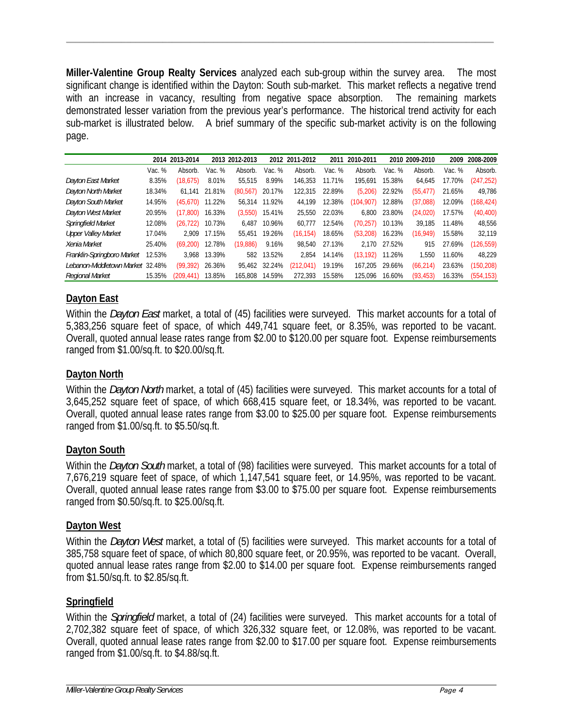**Miller-Valentine Group Realty Services** analyzed each sub-group within the survey area. The most significant change is identified within the Dayton: South sub-market. This market reflects a negative trend with an increase in vacancy, resulting from negative space absorption. The remaining markets demonstrated lesser variation from the previous year's performance. The historical trend activity for each sub-market is illustrated below. A brief summary of the specific sub-market activity is on the following page.

**\_\_\_\_\_\_\_\_\_\_\_\_\_\_\_\_\_\_\_\_\_\_\_\_\_\_\_\_\_\_\_\_\_\_\_\_\_\_\_\_\_\_\_\_\_\_\_\_\_\_\_\_\_\_\_\_\_\_\_\_\_\_\_\_\_\_\_\_\_\_\_\_\_\_\_\_\_\_\_\_\_\_\_\_\_\_\_\_\_\_\_\_\_**

|                                  | 2014 2013-2014 |            | 2013 2012-2013 |          | 2011-2012<br>2012 |            | 2011   | 2010-2011 |        | 2010 2009-2010 |        | 2008-2009  |
|----------------------------------|----------------|------------|----------------|----------|-------------------|------------|--------|-----------|--------|----------------|--------|------------|
|                                  | Vac. %         | Absorb.    | Vac. %         | Absorb.  | Vac. %            | Absorb.    | Vac. % | Absorb.   | Vac. % | Absorb.        | Vac. % | Absorb.    |
| Dayton East Market               | 8.35%          | (18, 675)  | 8.01%          | 55.515   | 8.99%             | 146.353    | 11.71% | 195.691   | 15.38% | 64.645         | 17.70% | (247, 252) |
| Dayton North Market              | 18.34%         | 61.141     | 21.81%         | (80.567) | 20.17%            | 122.315    | 22.89% | (5.206)   | 22.92% | (55.477)       | 21.65% | 49,786     |
| Dayton South Market              | 14.95%         | (45.670)   | 11.22%         | 56.314   | 11.92%            | 44.199     | 12.38% | (104.907) | 12.88% | (37.088)       | 12.09% | (168, 424) |
| Dayton West Market               | 20.95%         | (17.800)   | 16.33%         | (3,550)  | 15.41%            | 25.550     | 22.03% | 6.800     | 23.80% | (24.020)       | 17.57% | (40, 400)  |
| Springfield Market               | 12.08%         | (26, 722)  | 10.73%         | 6.487    | 10.96%            | 60.777     | 12.54% | (70.257)  | 10.13% | 39.185         | 11.48% | 48,556     |
| <b>Upper Valley Market</b>       | 17.04%         | 2.909      | 17.15%         | 55.451   | 19.26%            | (16, 154)  | 18.65% | (53, 208) | 16.23% | (16.949)       | 15.58% | 32,119     |
| Xenia Market                     | 25.40%         | (69,200)   | 12.78%         | (19,886) | 9.16%             | 98.540     | 27.13% | 2.170     | 27.52% | 915            | 27.69% | (126, 559) |
| Franklin-Springboro Market       | 12.53%         | 3.968      | 13.39%         | 582      | 13.52%            | 2.854      | 14.14% | (13.192)  | 11.26% | 1.550          | 11.60% | 48,229     |
| Lebanon-Middletown Market 32.48% |                | (99, 392)  | 26.36%         |          | 95.462 32.24%     | (212, 041) | 19.19% | 167.205   | 29.66% | (66.214)       | 23.63% | (150, 208) |
| Regional Market                  | 15.35%         | (209, 441) | 13.85%         | 165.808  | 14.59%            | 272.393    | 15.58% | 125.096   | 16.60% | (93.453)       | 16.33% | (554, 153) |

## **Dayton East**

Within the *Dayton East* market, a total of (45) facilities were surveyed. This market accounts for a total of 5,383,256 square feet of space, of which 449,741 square feet, or 8.35%, was reported to be vacant. Overall, quoted annual lease rates range from \$2.00 to \$120.00 per square foot. Expense reimbursements ranged from \$1.00/sq.ft. to \$20.00/sq.ft.

#### **Dayton North**

Within the *Dayton North* market, a total of (45) facilities were surveyed. This market accounts for a total of 3,645,252 square feet of space, of which 668,415 square feet, or 18.34%, was reported to be vacant. Overall, quoted annual lease rates range from \$3.00 to \$25.00 per square foot. Expense reimbursements ranged from \$1.00/sq.ft. to \$5.50/sq.ft.

#### **Dayton South**

Within the *Dayton South* market, a total of (98) facilities were surveyed. This market accounts for a total of 7,676,219 square feet of space, of which 1,147,541 square feet, or 14.95%, was reported to be vacant. Overall, quoted annual lease rates range from \$3.00 to \$75.00 per square foot. Expense reimbursements ranged from \$0.50/sq.ft. to \$25.00/sq.ft.

#### **Dayton West**

Within the *Dayton West* market, a total of (5) facilities were surveyed. This market accounts for a total of 385,758 square feet of space, of which 80,800 square feet, or 20.95%, was reported to be vacant. Overall, quoted annual lease rates range from \$2.00 to \$14.00 per square foot. Expense reimbursements ranged from \$1.50/sq.ft. to \$2.85/sq.ft.

#### **Springfield**

Within the *Springfield* market, a total of (24) facilities were surveyed. This market accounts for a total of 2,702,382 square feet of space, of which 326,332 square feet, or 12.08%, was reported to be vacant. Overall, quoted annual lease rates range from \$2.00 to \$17.00 per square foot. Expense reimbursements ranged from \$1.00/sq.ft. to \$4.88/sq.ft.